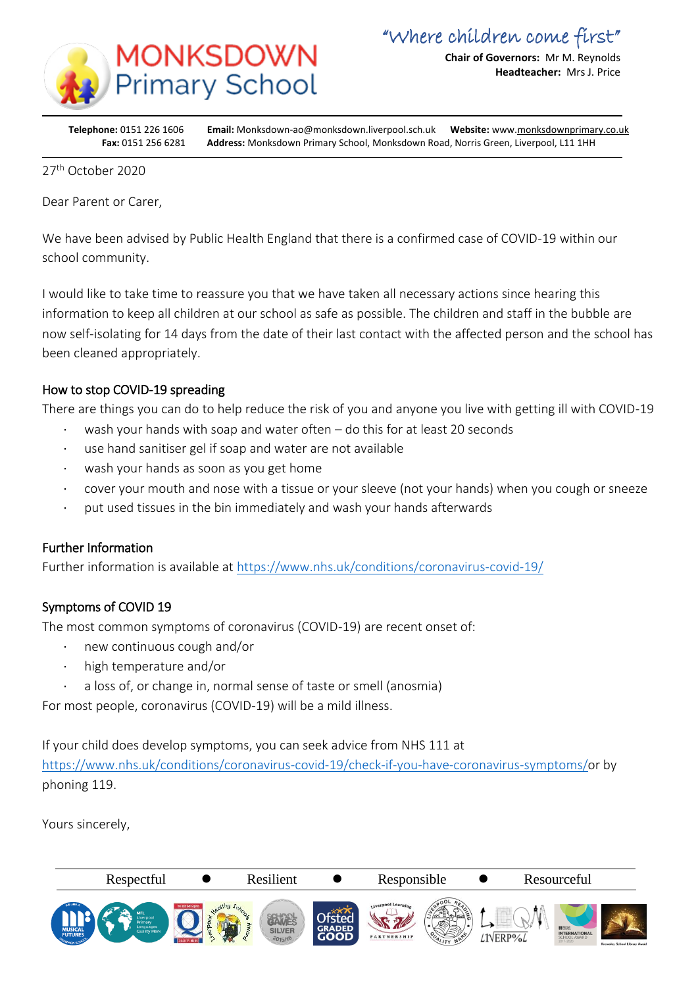

**Chair of Governors:** Mr M. Reynolds **Headteacher:** Mrs J. Price

**Telephone:** 0151 226 1606 **Email:** Monksdown-ao@monksdown.liverpool.sch.uk **Website:** www[.monksdownprimary.co.uk](http://www.monksdownprimary.co.uk/) **Fax:** 0151 256 6281 **Address:** Monksdown Primary School, Monksdown Road, Norris Green, Liverpool, L11 1HH

27th October 2020

i

Dear Parent or Carer,

We have been advised by Public Health England that there is a confirmed case of COVID-19 within our school community.

I would like to take time to reassure you that we have taken all necessary actions since hearing this information to keep all children at our school as safe as possible. The children and staff in the bubble are now self-isolating for 14 days from the date of their last contact with the affected person and the school has been cleaned appropriately.

## How to stop COVID-19 spreading

There are things you can do to help reduce the risk of you and anyone you live with getting ill with COVID-19

- wash your hands with soap and water often do this for at least 20 seconds
- use hand sanitiser gel if soap and water are not available
- wash your hands as soon as you get home
- · cover your mouth and nose with a tissue or your sleeve (not your hands) when you cough or sneeze
- · put used tissues in the bin immediately and wash your hands afterwards

## Further Information

Further information is available at<https://www.nhs.uk/conditions/coronavirus-covid-19/>

## Symptoms of COVID 19

The most common symptoms of coronavirus (COVID-19) are recent onset of:

- new continuous cough and/or
- · high temperature and/or
- a loss of, or change in, normal sense of taste or smell (anosmia)

For most people, coronavirus (COVID-19) will be a mild illness.

If your child does develop symptoms, you can seek advice from NHS 111 at [https://www.nhs.uk/conditions/coronavirus-covid-19/check-if-you-have-coronavirus-symptoms/o](https://www.nhs.uk/conditions/coronavirus-covid-19/check-if-you-have-coronavirus-symptoms/)r by phoning 119.

Yours sincerely,